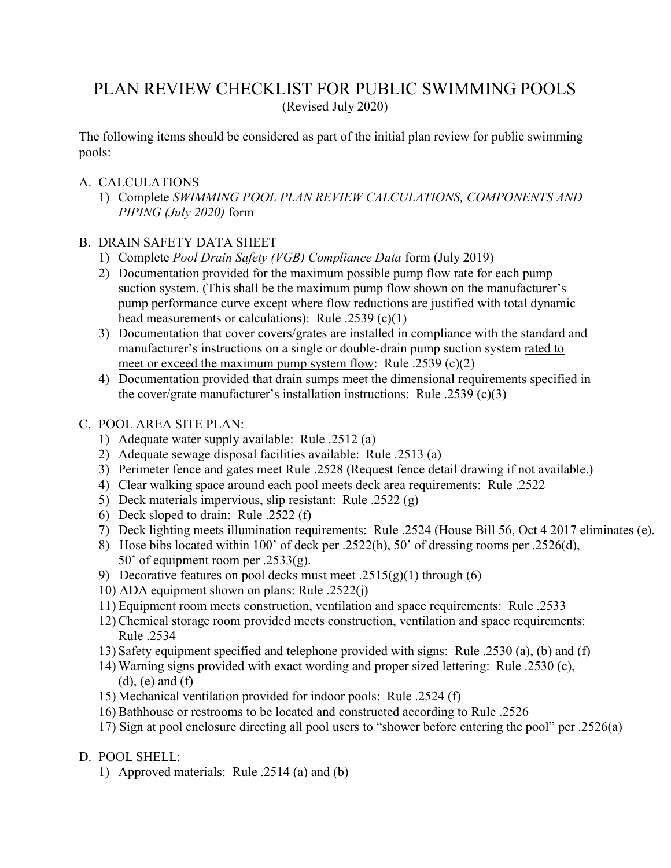# PLAN REVIEW CHECKLIST FOR PUBLIC SWIMMING POOLS (Revised July 2020)

The following items should be considered as part of the initial plan review for public swimming pools:

# A. CALCULATIONS

1) Complete SWIMMING POOL PLAN REVIEW CALCULATIONS, COMPONENTS AND PIPING (July 2020) form

# B. DRAIN SAFETY DATA SHEET

- 1) Complete Pool Drain Safety (VGB) Compliance Data form (July 2019)
- 2) Documentation provided for the maximum possible pump flow rate for each pump suction system. (This shall be the maximum pump flow shown on the manufacturer's pump performance curve except where flow reductions are justified with total dynamic head measurements or calculations): Rule .2539 (c)(1)
- 3) Documentation that cover covers/grates are installed in compliance with the standard and manufacturer's instructions on a single or double-drain pump suction system rated to meet or exceed the maximum pump system flow: Rule .2539 (c)(2)
- 4) Documentation provided that drain sumps meet the dimensional requirements specified in the cover/grate manufacturer's installation instructions: Rule .2539 (c)(3)

# C. POOL AREA SITE PLAN:

- 1) Adequate water supply available: Rule .2512 (a)
- 2) Adequate sewage disposal facilities available: Rule .2513 (a)
- 3) Perimeter fence and gates meet Rule .2528 (Request fence detail drawing if not available.)
- 4) Clear walking space around each pool meets deck area requirements: Rule .2522
- 5) Deck materials impervious, slip resistant: Rule .2522 (g)
- 6) Deck sloped to drain: Rule .2522 (f)
- 7) Deck lighting meets illumination requirements: Rule .2524 (House Bill 56, Oct 4 2017 eliminates (e).
- 8) Hose bibs located within 100' of deck per .2522(h), 50' of dressing rooms per .2526(d), 50' of equipment room per  $.2533(g)$ .
- 9) Decorative features on pool decks must meet .2515(g)(1) through (6)
- 10) ADA equipment shown on plans: Rule .2522(j)
- 11) Equipment room meets construction, ventilation and space requirements: Rule .2533
- 12) Chemical storage room provided meets construction, ventilation and space requirements: Rule .2534
- 13) Safety equipment specified and telephone provided with signs: Rule .2530 (a), (b) and (f)
- 14) Warning signs provided with exact wording and proper sized lettering: Rule .2530 (c),  $(d)$ ,  $(e)$  and  $(f)$
- 15) Mechanical ventilation provided for indoor pools: Rule .2524 (f)
- 16) Bathhouse or restrooms to be located and constructed according to Rule .2526
- 17) Sign at pool enclosure directing all pool users to "shower before entering the pool" per .2526(a)
- D. POOL SHELL:
	- 1) Approved materials: Rule .2514 (a) and (b)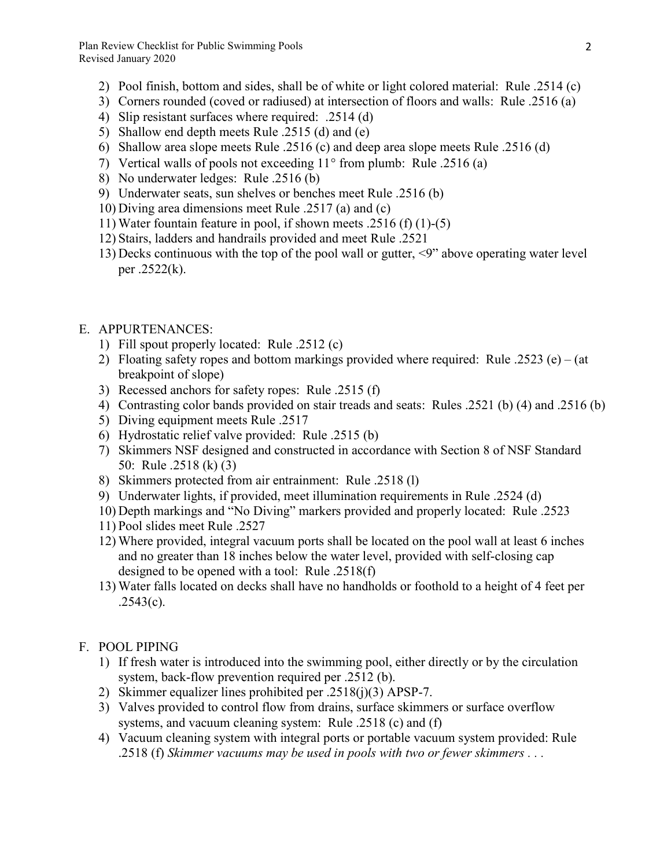Plan Review Checklist for Public Swimming Pools Revised January 2020

- 2) Pool finish, bottom and sides, shall be of white or light colored material: Rule .2514 (c)
- 3) Corners rounded (coved or radiused) at intersection of floors and walls: Rule .2516 (a)
- 4) Slip resistant surfaces where required: .2514 (d)
- 5) Shallow end depth meets Rule .2515 (d) and (e)
- 6) Shallow area slope meets Rule .2516 (c) and deep area slope meets Rule .2516 (d)
- 7) Vertical walls of pools not exceeding  $11^{\circ}$  from plumb: Rule .2516 (a)
- 8) No underwater ledges: Rule .2516 (b)
- 9) Underwater seats, sun shelves or benches meet Rule .2516 (b)
- 10) Diving area dimensions meet Rule .2517 (a) and (c)
- 11) Water fountain feature in pool, if shown meets .2516 (f) (1)-(5)
- 12) Stairs, ladders and handrails provided and meet Rule .2521
- 13) Decks continuous with the top of the pool wall or gutter, <9" above operating water level per .2522(k).
- E. APPURTENANCES:
	- 1) Fill spout properly located: Rule .2512 (c)
	- 2) Floating safety ropes and bottom markings provided where required: Rule .2523 (e) (at breakpoint of slope)
	- 3) Recessed anchors for safety ropes: Rule .2515 (f)
	- 4) Contrasting color bands provided on stair treads and seats: Rules .2521 (b) (4) and .2516 (b)
	- 5) Diving equipment meets Rule .2517
	- 6) Hydrostatic relief valve provided: Rule .2515 (b)
	- 7) Skimmers NSF designed and constructed in accordance with Section 8 of NSF Standard 50: Rule .2518 (k) (3)
	- 8) Skimmers protected from air entrainment: Rule .2518 (l)
	- 9) Underwater lights, if provided, meet illumination requirements in Rule .2524 (d)
	- 10) Depth markings and "No Diving" markers provided and properly located: Rule .2523
	- 11) Pool slides meet Rule .2527
	- 12) Where provided, integral vacuum ports shall be located on the pool wall at least 6 inches and no greater than 18 inches below the water level, provided with self-closing cap designed to be opened with a tool: Rule .2518(f)
	- 13) Water falls located on decks shall have no handholds or foothold to a height of 4 feet per  $.2543(c).$
- F. POOL PIPING
	- 1) If fresh water is introduced into the swimming pool, either directly or by the circulation system, back-flow prevention required per .2512 (b).
	- 2) Skimmer equalizer lines prohibited per .2518(j)(3) APSP-7.
	- 3) Valves provided to control flow from drains, surface skimmers or surface overflow systems, and vacuum cleaning system: Rule .2518 (c) and (f)
	- 4) Vacuum cleaning system with integral ports or portable vacuum system provided: Rule .2518 (f) Skimmer vacuums may be used in pools with two or fewer skimmers . . .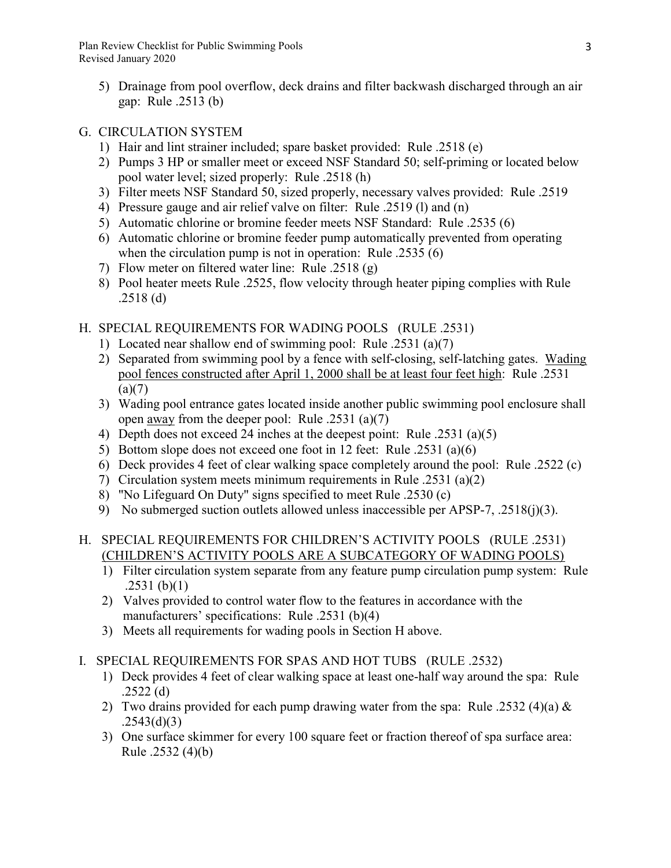Plan Review Checklist for Public Swimming Pools Revised January 2020

5) Drainage from pool overflow, deck drains and filter backwash discharged through an air gap: Rule .2513 (b)

#### G. CIRCULATION SYSTEM

- 1) Hair and lint strainer included; spare basket provided: Rule .2518 (e)
- 2) Pumps 3 HP or smaller meet or exceed NSF Standard 50; self-priming or located below pool water level; sized properly: Rule .2518 (h)
- 3) Filter meets NSF Standard 50, sized properly, necessary valves provided: Rule .2519
- 4) Pressure gauge and air relief valve on filter: Rule .2519 (l) and (n)
- 5) Automatic chlorine or bromine feeder meets NSF Standard: Rule .2535 (6)
- 6) Automatic chlorine or bromine feeder pump automatically prevented from operating when the circulation pump is not in operation: Rule .2535 (6)
- 7) Flow meter on filtered water line: Rule .2518 (g)
- 8) Pool heater meets Rule .2525, flow velocity through heater piping complies with Rule .2518 (d)

#### H. SPECIAL REQUIREMENTS FOR WADING POOLS (RULE .2531)

- 1) Located near shallow end of swimming pool: Rule .2531 (a)(7)
- 2) Separated from swimming pool by a fence with self-closing, self-latching gates. Wading pool fences constructed after April 1, 2000 shall be at least four feet high: Rule .2531  $(a)(7)$
- 3) Wading pool entrance gates located inside another public swimming pool enclosure shall open away from the deeper pool: Rule .2531 (a)(7)
- 4) Depth does not exceed 24 inches at the deepest point: Rule .2531 (a)(5)
- 5) Bottom slope does not exceed one foot in 12 feet: Rule .2531 (a)(6)
- 6) Deck provides 4 feet of clear walking space completely around the pool: Rule .2522 (c)
- 7) Circulation system meets minimum requirements in Rule .2531 (a)(2)
- 8) "No Lifeguard On Duty" signs specified to meet Rule .2530 (c)
- 9) No submerged suction outlets allowed unless inaccessible per APSP-7, .2518(j)(3).

### H. SPECIAL REQUIREMENTS FOR CHILDREN'S ACTIVITY POOLS (RULE .2531) (CHILDREN'S ACTIVITY POOLS ARE A SUBCATEGORY OF WADING POOLS)

- 1) Filter circulation system separate from any feature pump circulation pump system: Rule  $.2531$  (b)(1)
- 2) Valves provided to control water flow to the features in accordance with the manufacturers' specifications: Rule .2531 (b)(4)
- 3) Meets all requirements for wading pools in Section H above.
- I. SPECIAL REQUIREMENTS FOR SPAS AND HOT TUBS (RULE .2532)
	- 1) Deck provides 4 feet of clear walking space at least one-half way around the spa: Rule .2522 (d)
	- 2) Two drains provided for each pump drawing water from the spa: Rule .2532 (4)(a)  $\&$  $.2543(d)(3)$
	- 3) One surface skimmer for every 100 square feet or fraction thereof of spa surface area: Rule .2532 (4)(b)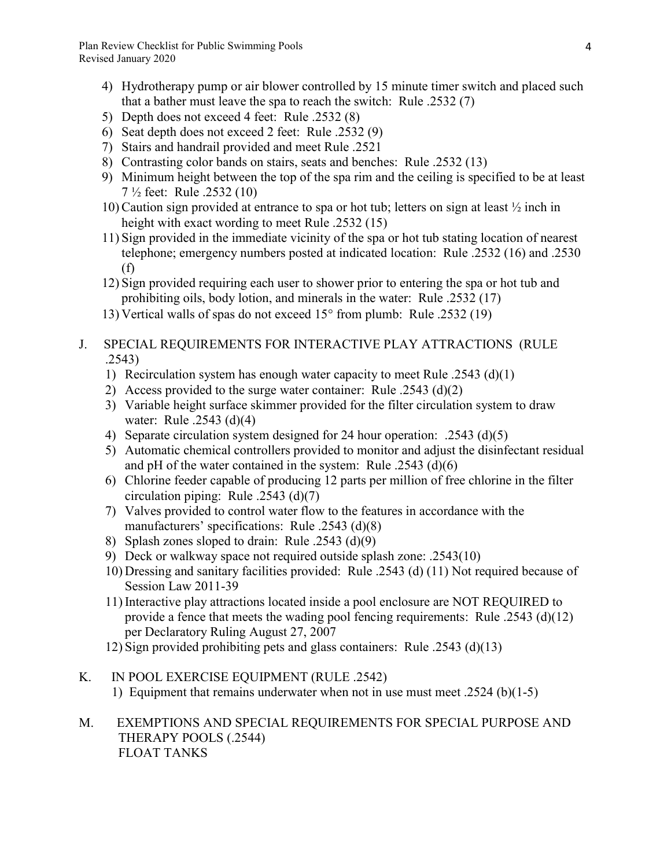- 4) Hydrotherapy pump or air blower controlled by 15 minute timer switch and placed such that a bather must leave the spa to reach the switch: Rule .2532 (7)
- 5) Depth does not exceed 4 feet: Rule .2532 (8)
- 6) Seat depth does not exceed 2 feet: Rule .2532 (9)
- 7) Stairs and handrail provided and meet Rule .2521
- 8) Contrasting color bands on stairs, seats and benches: Rule .2532 (13)
- 9) Minimum height between the top of the spa rim and the ceiling is specified to be at least 7 ½ feet: Rule .2532 (10)
- 10) Caution sign provided at entrance to spa or hot tub; letters on sign at least ½ inch in height with exact wording to meet Rule .2532 (15)
- 11) Sign provided in the immediate vicinity of the spa or hot tub stating location of nearest telephone; emergency numbers posted at indicated location: Rule .2532 (16) and .2530 (f)
- 12) Sign provided requiring each user to shower prior to entering the spa or hot tub and prohibiting oils, body lotion, and minerals in the water: Rule .2532 (17)
- 13) Vertical walls of spas do not exceed  $15^{\circ}$  from plumb: Rule .2532 (19)
- J. SPECIAL REQUIREMENTS FOR INTERACTIVE PLAY ATTRACTIONS (RULE .2543)
	- 1) Recirculation system has enough water capacity to meet Rule .2543 (d)(1)
	- 2) Access provided to the surge water container: Rule .2543 (d)(2)
	- 3) Variable height surface skimmer provided for the filter circulation system to draw water: Rule .2543 (d)(4)
	- 4) Separate circulation system designed for 24 hour operation: .2543 (d)(5)
	- 5) Automatic chemical controllers provided to monitor and adjust the disinfectant residual and pH of the water contained in the system: Rule .2543 (d)(6)
	- 6) Chlorine feeder capable of producing 12 parts per million of free chlorine in the filter circulation piping: Rule .2543 (d)(7)
	- 7) Valves provided to control water flow to the features in accordance with the manufacturers' specifications: Rule .2543 (d)(8)
	- 8) Splash zones sloped to drain: Rule .2543 (d)(9)
	- 9) Deck or walkway space not required outside splash zone: .2543(10)
	- 10) Dressing and sanitary facilities provided: Rule .2543 (d) (11) Not required because of Session Law 2011-39
	- 11) Interactive play attractions located inside a pool enclosure are NOT REQUIRED to provide a fence that meets the wading pool fencing requirements: Rule .2543 (d)(12) per Declaratory Ruling August 27, 2007
	- 12) Sign provided prohibiting pets and glass containers: Rule .2543 (d)(13)
- K. IN POOL EXERCISE EQUIPMENT (RULE .2542) 1) Equipment that remains underwater when not in use must meet .2524 (b)(1-5)

M. EXEMPTIONS AND SPECIAL REQUIREMENTS FOR SPECIAL PURPOSE AND THERAPY POOLS (.2544) FLOAT TANKS